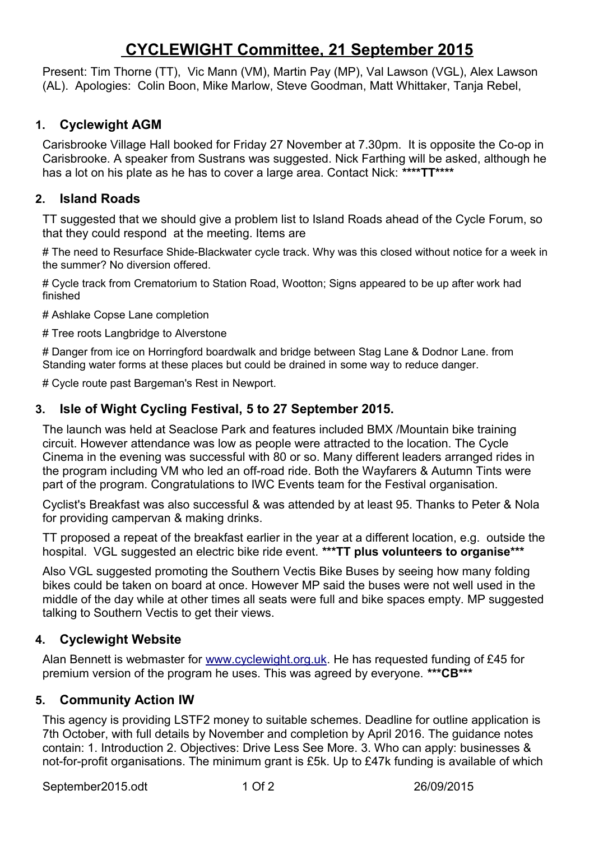# **CYCLEWIGHT Committee, 21 September 2015**

Present: Tim Thorne (TT), Vic Mann (VM), Martin Pay (MP), Val Lawson (VGL), Alex Lawson (AL). Apologies: Colin Boon, Mike Marlow, Steve Goodman, Matt Whittaker, Tanja Rebel,

# **1. Cyclewight AGM**

Carisbrooke Village Hall booked for Friday 27 November at 7.30pm. It is opposite the Co-op in Carisbrooke. A speaker from Sustrans was suggested. Nick Farthing will be asked, although he has a lot on his plate as he has to cover a large area. Contact Nick: **\*\*\*\*TT\*\*\*\***

# **2. Island Roads**

TT suggested that we should give a problem list to Island Roads ahead of the Cycle Forum, so that they could respond at the meeting. Items are

# The need to Resurface Shide-Blackwater cycle track. Why was this closed without notice for a week in the summer? No diversion offered.

# Cycle track from Crematorium to Station Road, Wootton; Signs appeared to be up after work had finished

# Ashlake Copse Lane completion

# Tree roots Langbridge to Alverstone

# Danger from ice on Horringford boardwalk and bridge between Stag Lane & Dodnor Lane. from Standing water forms at these places but could be drained in some way to reduce danger.

# Cycle route past Bargeman's Rest in Newport.

# **3. Isle of Wight Cycling Festival, 5 to 27 September 2015.**

The launch was held at Seaclose Park and features included BMX /Mountain bike training circuit. However attendance was low as people were attracted to the location. The Cycle Cinema in the evening was successful with 80 or so. Many different leaders arranged rides in the program including VM who led an off-road ride. Both the Wayfarers & Autumn Tints were part of the program. Congratulations to IWC Events team for the Festival organisation.

Cyclist's Breakfast was also successful & was attended by at least 95. Thanks to Peter & Nola for providing campervan & making drinks.

TT proposed a repeat of the breakfast earlier in the year at a different location, e.g. outside the hospital. VGL suggested an electric bike ride event. **\*\*\*TT plus volunteers to organise\*\*\*** 

Also VGL suggested promoting the Southern Vectis Bike Buses by seeing how many folding bikes could be taken on board at once. However MP said the buses were not well used in the middle of the day while at other times all seats were full and bike spaces empty. MP suggested talking to Southern Vectis to get their views.

# **4. Cyclewight Website**

Alan Bennett is webmaster for [www.cyclewight.org.uk.](http://www.cyclewight.org.uk/) He has requested funding of £45 for premium version of the program he uses. This was agreed by everyone. **\*\*\*CB\*\*\***

# **5. Community Action IW**

This agency is providing LSTF2 money to suitable schemes. Deadline for outline application is 7th October, with full details by November and completion by April 2016. The guidance notes contain: 1. Introduction 2. Objectives: Drive Less See More. 3. Who can apply: businesses & not-for-profit organisations. The minimum grant is £5k. Up to £47k funding is available of which

September2015.odt 1 Of 2 26/09/2015